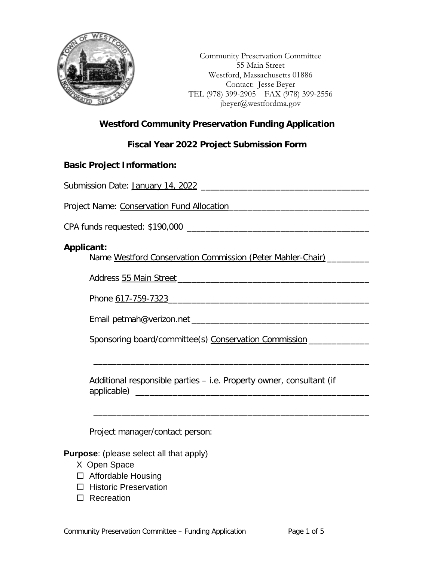

Community Preservation Committee 55 Main Street Westford, Massachusetts 01886 Contact: Jesse Beyer TEL (978) 399-2905 FAX (978) 399-2556 jbeyer@westfordma.gov

## **Westford Community Preservation Funding Application**

## **Fiscal Year 2022 Project Submission Form**

### **Basic Project Information:**

| Project Name: Conservation Fund Allocation [19] [19] Project Name: Conservation Fund Allocation |  |  |  |
|-------------------------------------------------------------------------------------------------|--|--|--|
|                                                                                                 |  |  |  |
| Applicant:<br>Name Westford Conservation Commission (Peter Mahler-Chair) ______                 |  |  |  |
|                                                                                                 |  |  |  |
|                                                                                                 |  |  |  |
|                                                                                                 |  |  |  |
| Sponsoring board/committee(s) Conservation Commission ______________                            |  |  |  |
|                                                                                                 |  |  |  |
| Additional responsible parties – i.e. Property owner, consultant (if                            |  |  |  |
|                                                                                                 |  |  |  |
| Project manager/contact person:                                                                 |  |  |  |
| <b>Purpose:</b> (please select all that apply)                                                  |  |  |  |

- X Open Space
- □ Affordable Housing
- □ Historic Preservation
- □ Recreation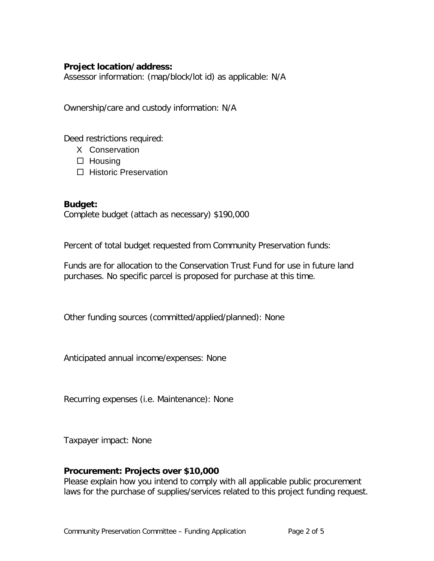## **Project location/address:**

Assessor information: (map/block/lot id) as applicable: N/A

Ownership/care and custody information: N/A

Deed restrictions required:

- X Conservation
- $\Box$  Housing
- □ Historic Preservation

**Budget:** Complete budget (attach as necessary) \$190,000

Percent of total budget requested from Community Preservation funds:

Funds are for allocation to the Conservation Trust Fund for use in future land purchases. No specific parcel is proposed for purchase at this time.

Other funding sources (committed/applied/planned): None

Anticipated annual income/expenses: None

Recurring expenses (i.e. Maintenance): None

Taxpayer impact: None

## **Procurement: Projects over \$10,000**

Please explain how you intend to comply with all applicable public procurement laws for the purchase of supplies/services related to this project funding request.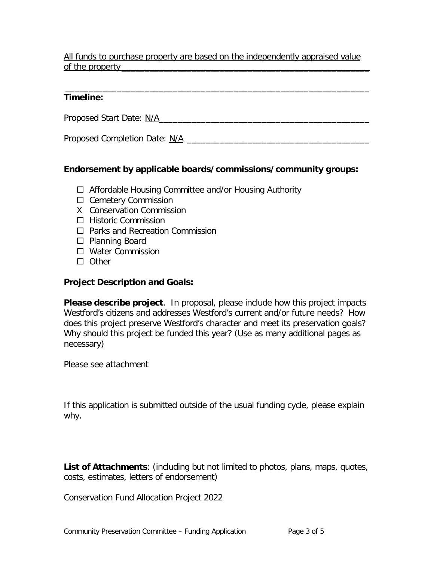## All funds to purchase property are based on the independently appraised value of the property

#### \_\_\_\_\_\_\_\_\_\_\_\_\_\_\_\_\_\_\_\_\_\_\_\_\_\_\_\_\_\_\_\_\_\_\_\_\_\_\_\_\_\_\_\_\_\_\_\_\_\_\_\_\_\_\_\_\_\_\_\_\_\_\_\_\_ **Timeline:**

Proposed Start Date: N/A\_\_\_\_\_\_\_\_\_\_\_\_\_\_\_\_\_\_\_\_\_\_\_\_\_\_\_\_\_\_\_\_\_\_\_\_\_\_\_\_\_\_\_\_\_

Proposed Completion Date: N/A \_\_\_\_\_\_\_\_\_\_\_\_\_\_\_\_\_\_\_\_\_\_\_\_\_\_\_\_\_\_\_\_\_\_\_\_\_\_\_

## **Endorsement by applicable boards/commissions/community groups:**

- $\Box$  Affordable Housing Committee and/or Housing Authority
- □ Cemetery Commission
- X Conservation Commission
- $\Box$  Historic Commission
- □ Parks and Recreation Commission
- □ Planning Board
- □ Water Commission
- $\Box$  Other

## **Project Description and Goals:**

**Please describe project**. In proposal, please include how this project impacts Westford's citizens and addresses Westford's current and/or future needs? How does this project preserve Westford's character and meet its preservation goals? Why should this project be funded this year? (Use as many additional pages as necessary)

Please see attachment

If this application is submitted outside of the usual funding cycle, please explain why.

**List of Attachments**: (including but not limited to photos, plans, maps, quotes, costs, estimates, letters of endorsement)

Conservation Fund Allocation Project 2022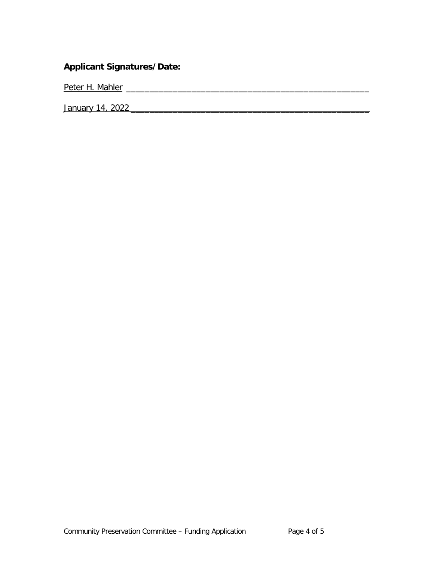## **Applicant Signatures/Date:**

Peter H. Mahler \_\_\_\_\_\_\_\_\_\_\_\_\_\_\_\_\_\_\_\_\_\_\_\_\_\_\_\_\_\_\_\_\_\_\_\_\_\_\_\_\_\_\_\_\_\_\_\_\_\_\_\_

January 14, 2022 \_\_\_\_\_\_\_\_\_\_\_\_\_\_\_\_\_\_\_\_\_\_\_\_\_\_\_\_\_\_\_\_\_\_\_\_\_\_\_\_\_\_\_\_\_\_\_\_\_\_\_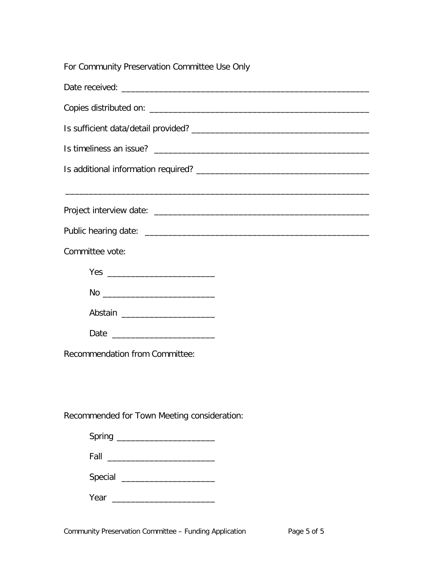|  |  | For Community Preservation Committee Use Only |  |  |
|--|--|-----------------------------------------------|--|--|
|--|--|-----------------------------------------------|--|--|

| Committee vote:                             |  |  |  |  |
|---------------------------------------------|--|--|--|--|
|                                             |  |  |  |  |
|                                             |  |  |  |  |
|                                             |  |  |  |  |
|                                             |  |  |  |  |
| Recommendation from Committee:              |  |  |  |  |
|                                             |  |  |  |  |
|                                             |  |  |  |  |
| Recommended for Town Meeting consideration: |  |  |  |  |
| Spring _________________________            |  |  |  |  |
|                                             |  |  |  |  |
| Special ________________________            |  |  |  |  |
| Year                                        |  |  |  |  |
|                                             |  |  |  |  |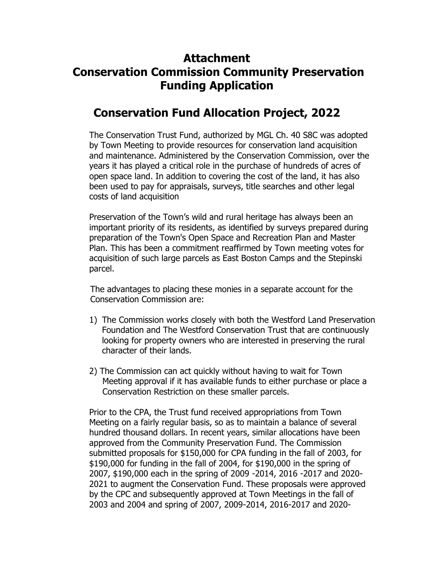# **Attachment Conservation Commission Community Preservation Funding Application**

## **Conservation Fund Allocation Project, 2022**

The Conservation Trust Fund, authorized by MGL Ch. 40 S8C was adopted by Town Meeting to provide resources for conservation land acquisition and maintenance. Administered by the Conservation Commission, over the years it has played a critical role in the purchase of hundreds of acres of open space land. In addition to covering the cost of the land, it has also been used to pay for appraisals, surveys, title searches and other legal costs of land acquisition

Preservation of the Town's wild and rural heritage has always been an important priority of its residents, as identified by surveys prepared during preparation of the Town's Open Space and Recreation Plan and Master Plan. This has been a commitment reaffirmed by Town meeting votes for acquisition of such large parcels as East Boston Camps and the Stepinski parcel.

 The advantages to placing these monies in a separate account for the Conservation Commission are:

- 1) The Commission works closely with both the Westford Land Preservation Foundation and The Westford Conservation Trust that are continuously looking for property owners who are interested in preserving the rural character of their lands.
- 2) The Commission can act quickly without having to wait for Town Meeting approval if it has available funds to either purchase or place a Conservation Restriction on these smaller parcels.

Prior to the CPA, the Trust fund received appropriations from Town Meeting on a fairly regular basis, so as to maintain a balance of several hundred thousand dollars. In recent years, similar allocations have been approved from the Community Preservation Fund. The Commission submitted proposals for \$150,000 for CPA funding in the fall of 2003, for \$190,000 for funding in the fall of 2004, for \$190,000 in the spring of 2007, \$190,000 each in the spring of 2009 -2014, 2016 -2017 and 2020- 2021 to augment the Conservation Fund. These proposals were approved by the CPC and subsequently approved at Town Meetings in the fall of 2003 and 2004 and spring of 2007, 2009-2014, 2016-2017 and 2020-